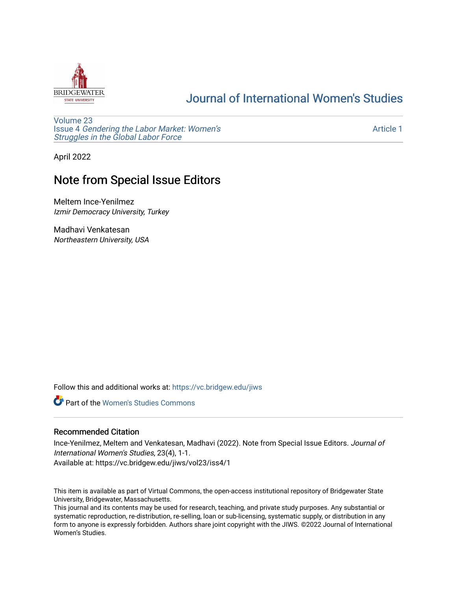

## [Journal of International Women's Studies](https://vc.bridgew.edu/jiws)

[Volume 23](https://vc.bridgew.edu/jiws/vol23) Issue 4 [Gendering the Labor Market: Women's](https://vc.bridgew.edu/jiws/vol23/iss4) [Struggles in the Global Labor Force](https://vc.bridgew.edu/jiws/vol23/iss4)

[Article 1](https://vc.bridgew.edu/jiws/vol23/iss4/1) 

April 2022

## Note from Special Issue Editors

Meltem Ince-Yenilmez Izmir Democracy University, Turkey

Madhavi Venkatesan Northeastern University, USA

Follow this and additional works at: [https://vc.bridgew.edu/jiws](https://vc.bridgew.edu/jiws?utm_source=vc.bridgew.edu%2Fjiws%2Fvol23%2Fiss4%2F1&utm_medium=PDF&utm_campaign=PDFCoverPages)

**C** Part of the Women's Studies Commons

## Recommended Citation

Ince-Yenilmez, Meltem and Venkatesan, Madhavi (2022). Note from Special Issue Editors. Journal of International Women's Studies, 23(4), 1-1.

Available at: https://vc.bridgew.edu/jiws/vol23/iss4/1

This item is available as part of Virtual Commons, the open-access institutional repository of Bridgewater State University, Bridgewater, Massachusetts.

This journal and its contents may be used for research, teaching, and private study purposes. Any substantial or systematic reproduction, re-distribution, re-selling, loan or sub-licensing, systematic supply, or distribution in any form to anyone is expressly forbidden. Authors share joint copyright with the JIWS. ©2022 Journal of International Women's Studies.